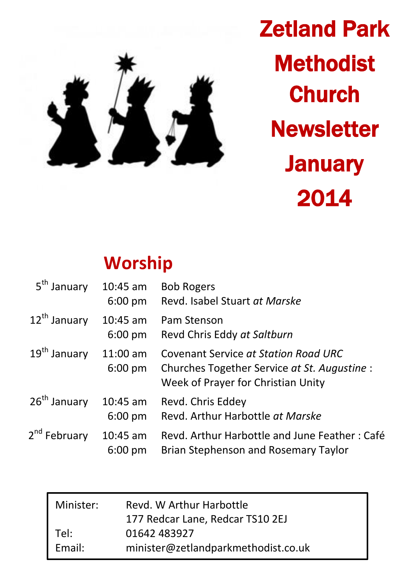

Zetland Park **Methodist Church Newsletter January** 2014

# **Worship**

| 5 <sup>th</sup> January  | $10:45$ am<br>$6:00 \text{ pm}$ | <b>Bob Rogers</b><br>Revd. Isabel Stuart at Marske                                                                         |
|--------------------------|---------------------------------|----------------------------------------------------------------------------------------------------------------------------|
| 12 <sup>th</sup> January | $10:45$ am<br>$6:00 \text{ pm}$ | Pam Stenson<br>Revd Chris Eddy at Saltburn                                                                                 |
| 19 <sup>th</sup> January | $11:00$ am<br>$6:00 \text{ pm}$ | Covenant Service at Station Road URC<br>Churches Together Service at St. Augustine :<br>Week of Prayer for Christian Unity |
| 26 <sup>th</sup> January | $10:45$ am<br>$6:00 \text{ pm}$ | Revd. Chris Eddey<br>Revd. Arthur Harbottle at Marske                                                                      |
| 2 <sup>nd</sup> February | $10:45$ am<br>$6:00$ pm         | Revd. Arthur Harbottle and June Feather: Café<br>Brian Stephenson and Rosemary Taylor                                      |

| Minister: | Revd. W Arthur Harbottle            |
|-----------|-------------------------------------|
|           | 177 Redcar Lane, Redcar TS10 2EJ    |
| Tel:      | 01642 483927                        |
| Email:    | minister@zetlandparkmethodist.co.uk |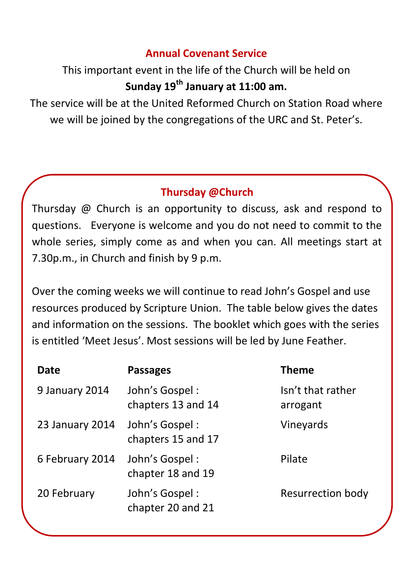### **Annual Covenant Service**

## This important event in the life of the Church will be held on **Sunday 19th January at 11:00 am.**

The service will be at the United Reformed Church on Station Road where we will be joined by the congregations of the URC and St. Peter's.

### **Thursday @Church**

Thursday @ Church is an opportunity to discuss, ask and respond to questions. Everyone is welcome and you do not need to commit to the whole series, simply come as and when you can. All meetings start at 7.30p.m., in Church and finish by 9 p.m.

Over the coming weeks we will continue to read John's Gospel and use resources produced by Scripture Union. The table below gives the dates and information on the sessions. The booklet which goes with the series is entitled 'Meet Jesus'. Most sessions will be led by June Feather.

| Date            | <b>Passages</b>                      | Theme                         |
|-----------------|--------------------------------------|-------------------------------|
| 9 January 2014  | John's Gospel:<br>chapters 13 and 14 | Isn't that rather<br>arrogant |
| 23 January 2014 | John's Gospel:<br>chapters 15 and 17 | Vineyards                     |
| 6 February 2014 | John's Gospel:<br>chapter 18 and 19  | Pilate                        |
| 20 February     | John's Gospel:<br>chapter 20 and 21  | Resurrection body             |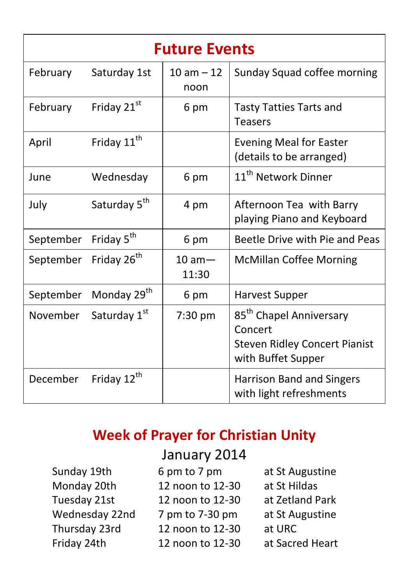| <b>Future Events</b>              |                          |                      |                                                                                                              |  |  |  |
|-----------------------------------|--------------------------|----------------------|--------------------------------------------------------------------------------------------------------------|--|--|--|
| February                          | Saturday 1st             | $10 am - 12$<br>noon | Sunday Squad coffee morning                                                                                  |  |  |  |
| February                          | Friday 21st              | 6 pm                 | <b>Tasty Tatties Tarts and</b><br><b>Teasers</b>                                                             |  |  |  |
| April                             | Friday 11 <sup>th</sup>  |                      | <b>Evening Meal for Easter</b><br>(details to be arranged)                                                   |  |  |  |
| June                              | Wednesday                | 6 pm                 | 11 <sup>th</sup> Network Dinner                                                                              |  |  |  |
| July                              | Saturday 5 <sup>th</sup> | 4 pm                 | Afternoon Tea with Barry<br>playing Piano and Keyboard                                                       |  |  |  |
| September                         | Friday 5 <sup>th</sup>   | 6 pm                 | Beetle Drive with Pie and Peas                                                                               |  |  |  |
| September Friday 26 <sup>th</sup> |                          | $10 am -$<br>11:30   | <b>McMillan Coffee Morning</b>                                                                               |  |  |  |
| September                         | Monday 29 <sup>th</sup>  | 6 pm                 | <b>Harvest Supper</b>                                                                                        |  |  |  |
| November                          | Saturday 1st             | 7:30 pm              | 85 <sup>th</sup> Chapel Anniversary<br>Concert<br><b>Steven Ridley Concert Pianist</b><br>with Buffet Supper |  |  |  |
| December                          | Friday 12 <sup>th</sup>  |                      | <b>Harrison Band and Singers</b><br>with light refreshments                                                  |  |  |  |

## **Week of Prayer for Christian Unity**

| Sunday 19th    |
|----------------|
| Monday 20th    |
| Tuesday 21st   |
| Wednesday 22nd |
| Thursday 23rd  |
| Friday 24th    |

## January 2014

| Sunday 19th    | 6 pm to 7 pm     | at St Augustine |
|----------------|------------------|-----------------|
| Monday 20th    | 12 noon to 12-30 | at St Hildas    |
| Tuesday 21st   | 12 noon to 12-30 | at Zetland Park |
| Wednesday 22nd | 7 pm to 7-30 pm  | at St Augustine |
| Thursday 23rd  | 12 noon to 12-30 | at URC          |
| Friday 24th    | 12 noon to 12-30 | at Sacred Heart |